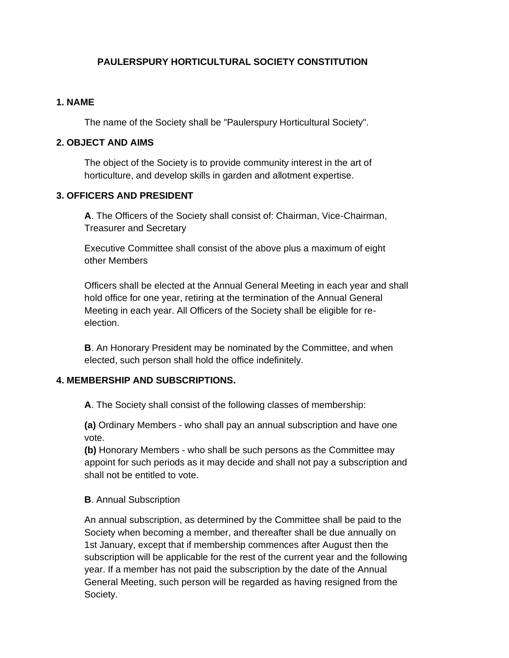## **PAULERSPURY HORTICULTURAL SOCIETY CONSTITUTION**

#### **1. NAME**

The name of the Society shall be "Paulerspury Horticultural Society".

#### **2. OBJECT AND AIMS**

The object of the Society is to provide community interest in the art of horticulture, and develop skills in garden and allotment expertise.

#### **3. OFFICERS AND PRESIDENT**

**A**. The Officers of the Society shall consist of: Chairman, Vice-Chairman, Treasurer and Secretary

Executive Committee shall consist of the above plus a maximum of eight other Members

Officers shall be elected at the Annual General Meeting in each year and shall hold office for one year, retiring at the termination of the Annual General Meeting in each year. All Officers of the Society shall be eligible for reelection.

**B**. An Honorary President may be nominated by the Committee, and when elected, such person shall hold the office indefinitely.

### **4. MEMBERSHIP AND SUBSCRIPTIONS.**

**A**. The Society shall consist of the following classes of membership:

**(a)** Ordinary Members - who shall pay an annual subscription and have one vote.

**(b)** Honorary Members - who shall be such persons as the Committee may appoint for such periods as it may decide and shall not pay a subscription and shall not be entitled to vote.

### **B**. Annual Subscription

An annual subscription, as determined by the Committee shall be paid to the Society when becoming a member, and thereafter shall be due annually on 1st January, except that if membership commences after August then the subscription will be applicable for the rest of the current year and the following year. If a member has not paid the subscription by the date of the Annual General Meeting, such person will be regarded as having resigned from the Society.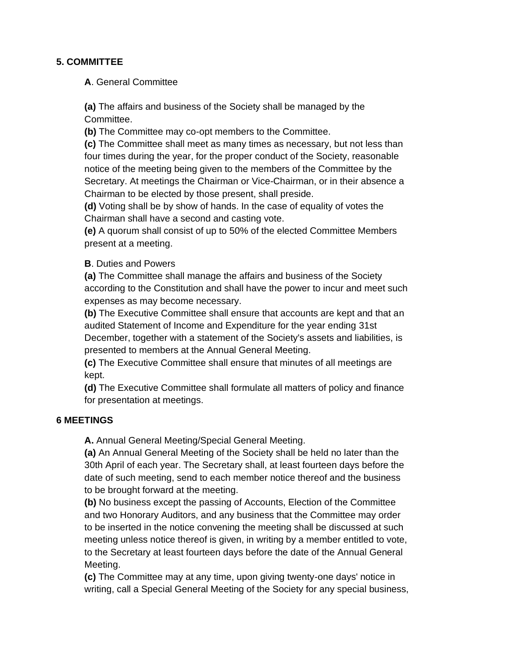## **5. COMMITTEE**

**A**. General Committee

**(a)** The affairs and business of the Society shall be managed by the Committee.

**(b)** The Committee may co-opt members to the Committee.

**(c)** The Committee shall meet as many times as necessary, but not less than four times during the year, for the proper conduct of the Society, reasonable notice of the meeting being given to the members of the Committee by the Secretary. At meetings the Chairman or Vice-Chairman, or in their absence a Chairman to be elected by those present, shall preside.

**(d)** Voting shall be by show of hands. In the case of equality of votes the Chairman shall have a second and casting vote.

**(e)** A quorum shall consist of up to 50% of the elected Committee Members present at a meeting.

## **B**. Duties and Powers

**(a)** The Committee shall manage the affairs and business of the Society according to the Constitution and shall have the power to incur and meet such expenses as may become necessary.

**(b)** The Executive Committee shall ensure that accounts are kept and that an audited Statement of Income and Expenditure for the year ending 31st

December, together with a statement of the Society's assets and liabilities, is presented to members at the Annual General Meeting.

**(c)** The Executive Committee shall ensure that minutes of all meetings are kept.

**(d)** The Executive Committee shall formulate all matters of policy and finance for presentation at meetings.

### **6 MEETINGS**

**A.** Annual General Meeting/Special General Meeting.

**(a)** An Annual General Meeting of the Society shall be held no later than the 30th April of each year. The Secretary shall, at least fourteen days before the date of such meeting, send to each member notice thereof and the business to be brought forward at the meeting.

**(b)** No business except the passing of Accounts, Election of the Committee and two Honorary Auditors, and any business that the Committee may order to be inserted in the notice convening the meeting shall be discussed at such meeting unless notice thereof is given, in writing by a member entitled to vote, to the Secretary at least fourteen days before the date of the Annual General Meeting.

**(c)** The Committee may at any time, upon giving twenty-one days' notice in writing, call a Special General Meeting of the Society for any special business,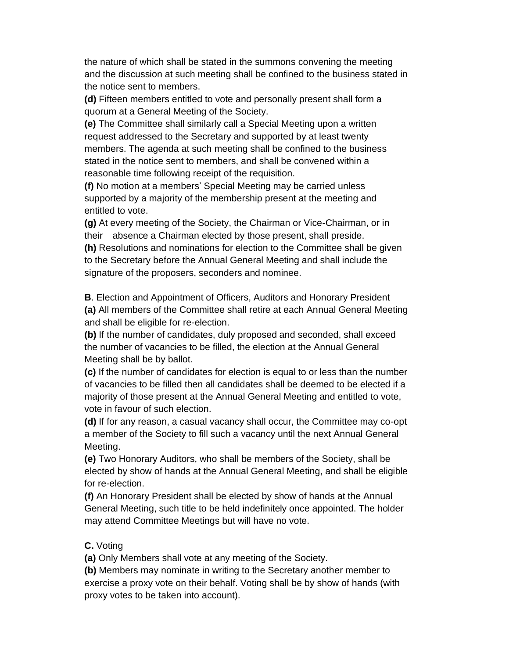the nature of which shall be stated in the summons convening the meeting and the discussion at such meeting shall be confined to the business stated in the notice sent to members.

**(d)** Fifteen members entitled to vote and personally present shall form a quorum at a General Meeting of the Society.

**(e)** The Committee shall similarly call a Special Meeting upon a written request addressed to the Secretary and supported by at least twenty members. The agenda at such meeting shall be confined to the business stated in the notice sent to members, and shall be convened within a reasonable time following receipt of the requisition.

**(f)** No motion at a members' Special Meeting may be carried unless supported by a majority of the membership present at the meeting and entitled to vote.

**(g)** At every meeting of the Society, the Chairman or Vice-Chairman, or in their absence a Chairman elected by those present, shall preside. **(h)** Resolutions and nominations for election to the Committee shall be given to the Secretary before the Annual General Meeting and shall include the signature of the proposers, seconders and nominee.

**B**. Election and Appointment of Officers, Auditors and Honorary President **(a)** All members of the Committee shall retire at each Annual General Meeting and shall be eligible for re-election.

**(b)** If the number of candidates, duly proposed and seconded, shall exceed the number of vacancies to be filled, the election at the Annual General Meeting shall be by ballot.

**(c)** If the number of candidates for election is equal to or less than the number of vacancies to be filled then all candidates shall be deemed to be elected if a majority of those present at the Annual General Meeting and entitled to vote, vote in favour of such election.

**(d)** If for any reason, a casual vacancy shall occur, the Committee may co-opt a member of the Society to fill such a vacancy until the next Annual General Meeting.

**(e)** Two Honorary Auditors, who shall be members of the Society, shall be elected by show of hands at the Annual General Meeting, and shall be eligible for re-election.

**(f)** An Honorary President shall be elected by show of hands at the Annual General Meeting, such title to be held indefinitely once appointed. The holder may attend Committee Meetings but will have no vote.

### **C.** Voting

**(a)** Only Members shall vote at any meeting of the Society.

**(b)** Members may nominate in writing to the Secretary another member to exercise a proxy vote on their behalf. Voting shall be by show of hands (with proxy votes to be taken into account).